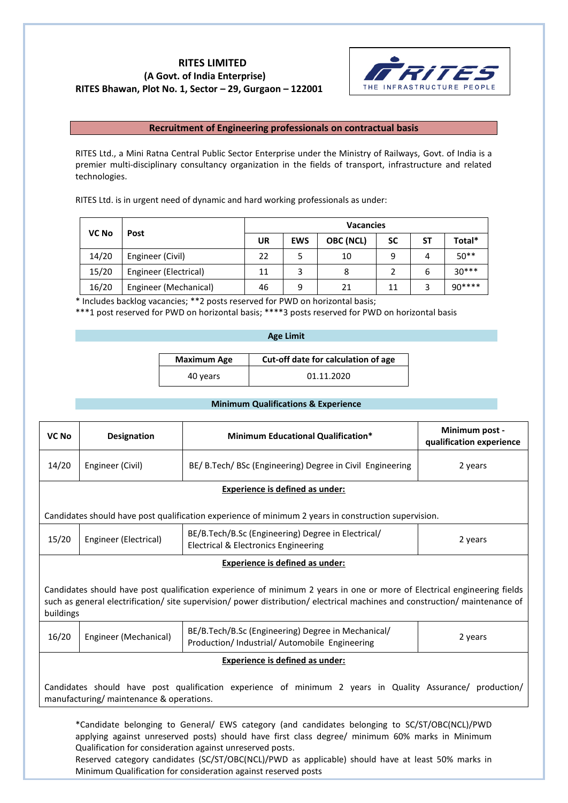# **RITES LIMITED (A Govt. of India Enterprise) RITES Bhawan, Plot No. 1, Sector – 29, Gurgaon – 122001**



# **Recruitment of Engineering professionals on contractual basis**

RITES Ltd., a Mini Ratna Central Public Sector Enterprise under the Ministry of Railways, Govt. of India is a premier multi-disciplinary consultancy organization in the fields of transport, infrastructure and related technologies.

RITES Ltd. is in urgent need of dynamic and hard working professionals as under:

| <b>VC No</b> | Post                  | <b>Vacancies</b> |            |           |           |    |         |
|--------------|-----------------------|------------------|------------|-----------|-----------|----|---------|
|              |                       | UR               | <b>EWS</b> | OBC (NCL) | <b>SC</b> | SΤ | Total*  |
| 14/20        | Engineer (Civil)      | 22               | 5          | 10        | 9         | 4  | $50**$  |
| 15/20        | Engineer (Electrical) | 11               | 3          | 8         |           | 6  | $30***$ |
| 16/20        | Engineer (Mechanical) | 46               | 9          | 21        | 11        |    | $90***$ |

\* Includes backlog vacancies; \*\*2 posts reserved for PWD on horizontal basis;

\*\*\*1 post reserved for PWD on horizontal basis; \*\*\*\*3 posts reserved for PWD on horizontal basis

# **Age Limit**

| <b>Maximum Age</b> | Cut-off date for calculation of age |
|--------------------|-------------------------------------|
| 40 years           | 01.11.2020                          |

# **Minimum Qualifications & Experience**

| VC No                                                                                                                                                 | <b>Designation</b>                                                                                                                                                                                                                                 | <b>Minimum Educational Qualification*</b>                                                            | Minimum post -<br>qualification experience |  |  |
|-------------------------------------------------------------------------------------------------------------------------------------------------------|----------------------------------------------------------------------------------------------------------------------------------------------------------------------------------------------------------------------------------------------------|------------------------------------------------------------------------------------------------------|--------------------------------------------|--|--|
| 14/20                                                                                                                                                 | Engineer (Civil)                                                                                                                                                                                                                                   | BE/ B.Tech/ BSc (Engineering) Degree in Civil Engineering                                            | 2 years                                    |  |  |
|                                                                                                                                                       |                                                                                                                                                                                                                                                    | Experience is defined as under:                                                                      |                                            |  |  |
|                                                                                                                                                       |                                                                                                                                                                                                                                                    | Candidates should have post qualification experience of minimum 2 years in construction supervision. |                                            |  |  |
| 15/20                                                                                                                                                 | BE/B.Tech/B.Sc (Engineering) Degree in Electrical/<br>Engineer (Electrical)<br>2 years<br><b>Electrical &amp; Electronics Engineering</b>                                                                                                          |                                                                                                      |                                            |  |  |
|                                                                                                                                                       | <b>Experience is defined as under:</b>                                                                                                                                                                                                             |                                                                                                      |                                            |  |  |
| buildings                                                                                                                                             | Candidates should have post qualification experience of minimum 2 years in one or more of Electrical engineering fields<br>such as general electrification/site supervision/power distribution/electrical machines and construction/maintenance of |                                                                                                      |                                            |  |  |
| 16/20                                                                                                                                                 | BE/B.Tech/B.Sc (Engineering) Degree in Mechanical/<br>Engineer (Mechanical)<br>2 years<br>Production/ Industrial/ Automobile Engineering                                                                                                           |                                                                                                      |                                            |  |  |
| Experience is defined as under:                                                                                                                       |                                                                                                                                                                                                                                                    |                                                                                                      |                                            |  |  |
| Candidates should have post qualification experience of minimum 2 years in Quality Assurance/ production/<br>manufacturing/ maintenance & operations. |                                                                                                                                                                                                                                                    |                                                                                                      |                                            |  |  |
| *Candidate belonging to General/ EWS category (and candidates belonging to SC/ST/OBC(NCL)/PWD                                                         |                                                                                                                                                                                                                                                    |                                                                                                      |                                            |  |  |

applying against unreserved posts) should have first class degree/ minimum 60% marks in Minimum Qualification for consideration against unreserved posts.

Reserved category candidates (SC/ST/OBC(NCL)/PWD as applicable) should have at least 50% marks in Minimum Qualification for consideration against reserved posts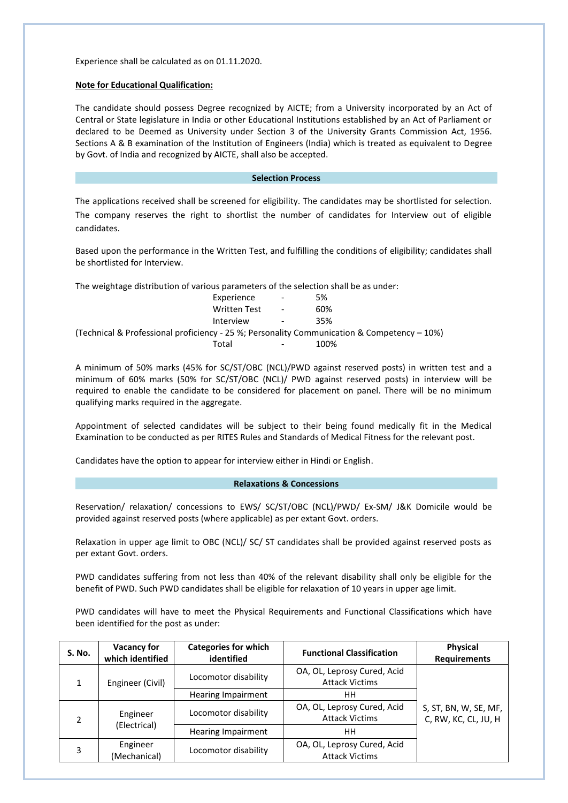Experience shall be calculated as on 01.11.2020.

### **Note for Educational Qualification:**

The candidate should possess Degree recognized by AICTE; from a University incorporated by an Act of Central or State legislature in India or other Educational Institutions established by an Act of Parliament or declared to be Deemed as University under Section 3 of the University Grants Commission Act, 1956. Sections A & B examination of the Institution of Engineers (India) which is treated as equivalent to Degree by Govt. of India and recognized by AICTE, shall also be accepted.

# **Selection Process**

The applications received shall be screened for eligibility. The candidates may be shortlisted for selection. The company reserves the right to shortlist the number of candidates for Interview out of eligible candidates.

Based upon the performance in the Written Test, and fulfilling the conditions of eligibility; candidates shall be shortlisted for Interview.

The weightage distribution of various parameters of the selection shall be as under:

|                                                                                                | Experience          | $\overline{\phantom{a}}$ | 5%   |
|------------------------------------------------------------------------------------------------|---------------------|--------------------------|------|
|                                                                                                | <b>Written Test</b> | $\overline{\phantom{a}}$ | 60%  |
|                                                                                                | Interview           | $\overline{\phantom{a}}$ | 35%  |
| (Technical & Professional proficiency - 25 %; Personality Communication & Competency $-10\%$ ) |                     |                          |      |
|                                                                                                | Total               |                          | 100% |

A minimum of 50% marks (45% for SC/ST/OBC (NCL)/PWD against reserved posts) in written test and a minimum of 60% marks (50% for SC/ST/OBC (NCL)/ PWD against reserved posts) in interview will be required to enable the candidate to be considered for placement on panel. There will be no minimum qualifying marks required in the aggregate.

Appointment of selected candidates will be subject to their being found medically fit in the Medical Examination to be conducted as per RITES Rules and Standards of Medical Fitness for the relevant post.

Candidates have the option to appear for interview either in Hindi or English.

### **Relaxations & Concessions**

Reservation/ relaxation/ concessions to EWS/ SC/ST/OBC (NCL)/PWD/ Ex-SM/ J&K Domicile would be provided against reserved posts (where applicable) as per extant Govt. orders.

Relaxation in upper age limit to OBC (NCL)/ SC/ ST candidates shall be provided against reserved posts as per extant Govt. orders.

PWD candidates suffering from not less than 40% of the relevant disability shall only be eligible for the benefit of PWD. Such PWD candidates shall be eligible for relaxation of 10 years in upper age limit.

PWD candidates will have to meet the Physical Requirements and Functional Classifications which have been identified for the post as under:

| <b>S. No.</b>         | <b>Vacancy for</b><br>which identified | <b>Categories for which</b><br>identified | <b>Functional Classification</b>                     | <b>Physical</b><br><b>Requirements</b>        |
|-----------------------|----------------------------------------|-------------------------------------------|------------------------------------------------------|-----------------------------------------------|
| Engineer (Civil)<br>1 |                                        | Locomotor disability                      | OA, OL, Leprosy Cured, Acid<br><b>Attack Victims</b> |                                               |
|                       |                                        | <b>Hearing Impairment</b>                 | HН                                                   |                                               |
|                       | Engineer<br>(Electrical)               | Locomotor disability                      | OA, OL, Leprosy Cured, Acid<br><b>Attack Victims</b> | S, ST, BN, W, SE, MF,<br>C, RW, KC, CL, JU, H |
|                       |                                        | Hearing Impairment                        | HН                                                   |                                               |
| 3                     | Engineer<br>(Mechanical)               | Locomotor disability                      | OA, OL, Leprosy Cured, Acid<br><b>Attack Victims</b> |                                               |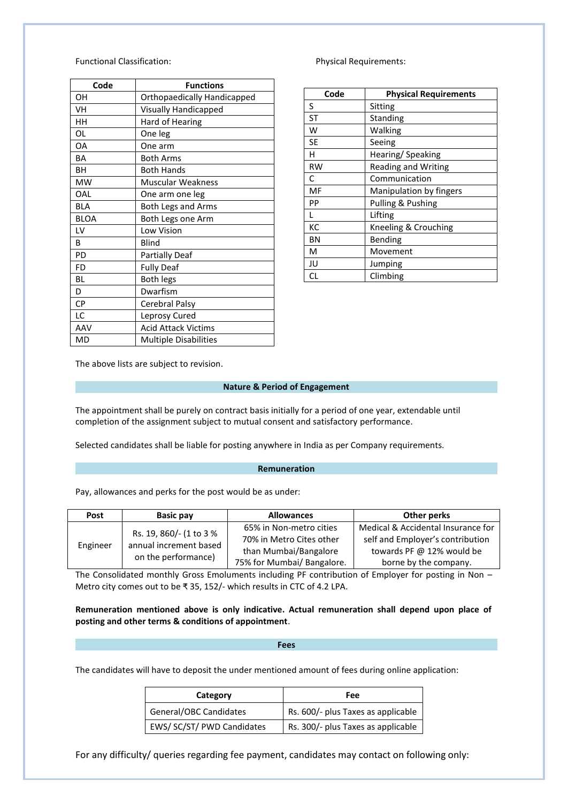# Functional Classification: example and physical Requirements:

| Code        | <b>Functions</b>             |
|-------------|------------------------------|
| OΗ          | Orthopaedically Handicapped  |
| VH          | <b>Visually Handicapped</b>  |
| HН          | Hard of Hearing              |
| OL          | One leg                      |
| OA          | One arm                      |
| <b>BA</b>   | <b>Both Arms</b>             |
| BН          | <b>Both Hands</b>            |
| <b>MW</b>   | <b>Muscular Weakness</b>     |
| OAL         | One arm one leg              |
| <b>BLA</b>  | <b>Both Legs and Arms</b>    |
| <b>BLOA</b> | Both Legs one Arm            |
| LV          | Low Vision                   |
| R           | Blind                        |
| PD          | <b>Partially Deaf</b>        |
| FD          | <b>Fully Deaf</b>            |
| BL          | <b>Both legs</b>             |
| D           | Dwarfism                     |
| CP          | Cerebral Palsy               |
| LC          | Leprosy Cured                |
| AAV         | <b>Acid Attack Victims</b>   |
| MD          | <b>Multiple Disabilities</b> |

| Code      | <b>Physical Requirements</b> |
|-----------|------------------------------|
| S         | Sitting                      |
| ST        | <b>Standing</b>              |
| w         | Walking                      |
| SE        | Seeing                       |
| н         | Hearing/Speaking             |
| <b>RW</b> | <b>Reading and Writing</b>   |
| C         | Communication                |
| MF        | Manipulation by fingers      |
| PP        | Pulling & Pushing            |
|           | Lifting                      |
| КC        | Kneeling & Crouching         |
| BN        | Bending                      |
| м         | Movement                     |
| JU        | Jumping                      |
| СL        | Climbing                     |

The above lists are subject to revision.

# **Nature & Period of Engagement**

The appointment shall be purely on contract basis initially for a period of one year, extendable until completion of the assignment subject to mutual consent and satisfactory performance.

Selected candidates shall be liable for posting anywhere in India as per Company requirements.

# **Remuneration**

Pay, allowances and perks for the post would be as under:

| Post     | <b>Basic pay</b>                                                         | <b>Allowances</b>          | Other perks                        |
|----------|--------------------------------------------------------------------------|----------------------------|------------------------------------|
| Engineer | Rs. 19, 860/- (1 to 3 %<br>annual increment based<br>on the performance) | 65% in Non-metro cities    | Medical & Accidental Insurance for |
|          |                                                                          | 70% in Metro Cites other   | self and Employer's contribution   |
|          |                                                                          | than Mumbai/Bangalore      | towards PF @ 12% would be          |
|          |                                                                          | 75% for Mumbai/ Bangalore. | borne by the company.              |

The Consolidated monthly Gross Emoluments including PF contribution of Employer for posting in Non – Metro city comes out to be ₹ 35, 152/- which results in CTC of 4.2 LPA.

**Remuneration mentioned above is only indicative. Actual remuneration shall depend upon place of posting and other terms & conditions of appointment**.

#### **Fees**

The candidates will have to deposit the under mentioned amount of fees during online application:

| Category                   | Fee                                |
|----------------------------|------------------------------------|
| General/OBC Candidates     | Rs. 600/- plus Taxes as applicable |
| EWS/ SC/ST/ PWD Candidates | Rs. 300/- plus Taxes as applicable |

For any difficulty/ queries regarding fee payment, candidates may contact on following only: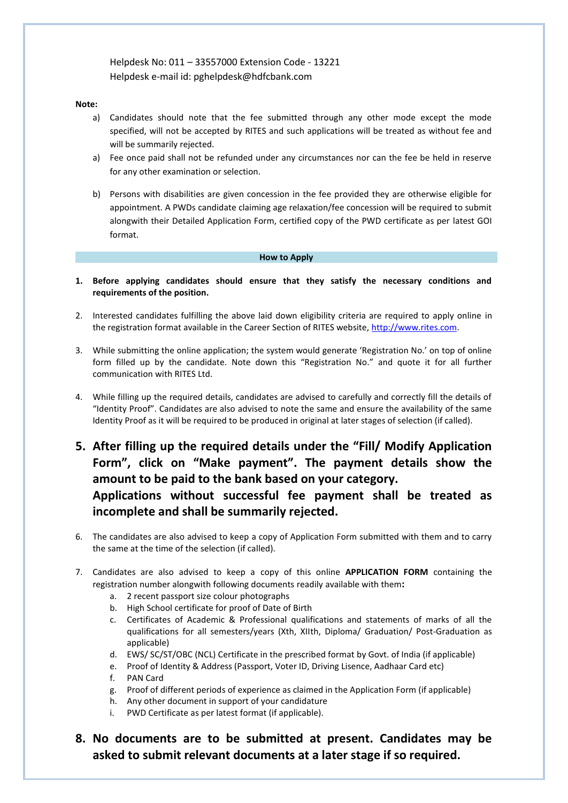Helpdesk No: 011 – 33557000 Extension Code - 13221 Helpdesk e-mail id: pghelpdesk@hdfcbank.com

# **Note:**

- a) Candidates should note that the fee submitted through any other mode except the mode specified, will not be accepted by RITES and such applications will be treated as without fee and will be summarily rejected.
- a) Fee once paid shall not be refunded under any circumstances nor can the fee be held in reserve for any other examination or selection.
- b) Persons with disabilities are given concession in the fee provided they are otherwise eligible for appointment. A PWDs candidate claiming age relaxation/fee concession will be required to submit alongwith their Detailed Application Form, certified copy of the PWD certificate as per latest GOI format.

# **How to Apply**

- **1. Before applying candidates should ensure that they satisfy the necessary conditions and requirements of the position.**
- 2. Interested candidates fulfilling the above laid down eligibility criteria are required to apply online in the registration format available in the Career Section of RITES website, [http://www.rites.com.](http://www.rites.com/)
- 3. While submitting the online application; the system would generate 'Registration No.' on top of online form filled up by the candidate. Note down this "Registration No." and quote it for all further communication with RITES Ltd.
- 4. While filling up the required details, candidates are advised to carefully and correctly fill the details of "Identity Proof". Candidates are also advised to note the same and ensure the availability of the same Identity Proof as it will be required to be produced in original at later stages of selection (if called).
- **5. After filling up the required details under the "Fill/ Modify Application Form", click on "Make payment". The payment details show the amount to be paid to the bank based on your category. Applications without successful fee payment shall be treated as incomplete and shall be summarily rejected.**
- 6. The candidates are also advised to keep a copy of Application Form submitted with them and to carry the same at the time of the selection (if called).
- 7. Candidates are also advised to keep a copy of this online **APPLICATION FORM** containing the registration number alongwith following documents readily available with them**:**
	- a. 2 recent passport size colour photographs
	- b. High School certificate for proof of Date of Birth
	- c. Certificates of Academic & Professional qualifications and statements of marks of all the qualifications for all semesters/years (Xth, XIIth, Diploma/ Graduation/ Post-Graduation as applicable)
	- d. EWS/ SC/ST/OBC (NCL) Certificate in the prescribed format by Govt. of India (if applicable)
	- e. Proof of Identity & Address (Passport, Voter ID, Driving Lisence, Aadhaar Card etc)
	- f. PAN Card
	- g. Proof of different periods of experience as claimed in the Application Form (if applicable)
	- h. Any other document in support of your candidature
	- i. PWD Certificate as per latest format (if applicable).

**8. No documents are to be submitted at present. Candidates may be asked to submit relevant documents at a later stage if so required.**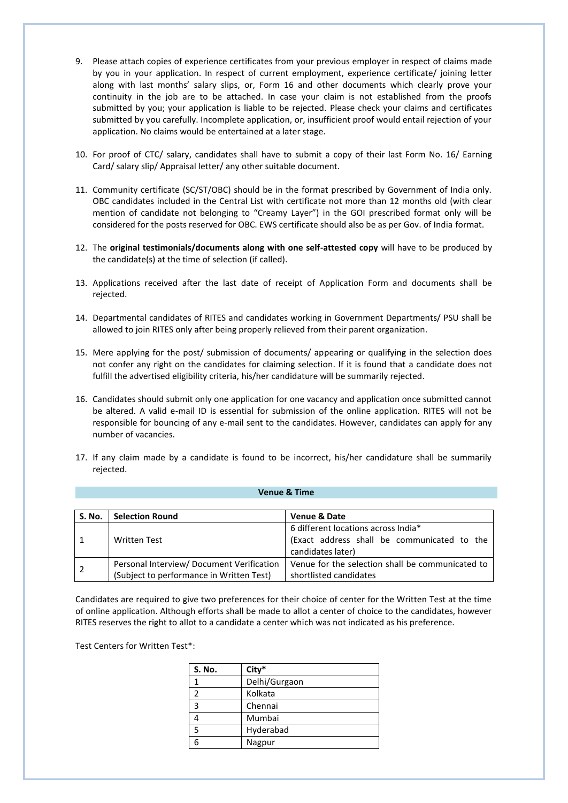- 9. Please attach copies of experience certificates from your previous employer in respect of claims made by you in your application. In respect of current employment, experience certificate/ joining letter along with last months' salary slips, or, Form 16 and other documents which clearly prove your continuity in the job are to be attached. In case your claim is not established from the proofs submitted by you; your application is liable to be rejected. Please check your claims and certificates submitted by you carefully. Incomplete application, or, insufficient proof would entail rejection of your application. No claims would be entertained at a later stage.
- 10. For proof of CTC/ salary, candidates shall have to submit a copy of their last Form No. 16/ Earning Card/ salary slip/ Appraisal letter/ any other suitable document.
- 11. Community certificate (SC/ST/OBC) should be in the format prescribed by Government of India only. OBC candidates included in the Central List with certificate not more than 12 months old (with clear mention of candidate not belonging to "Creamy Layer") in the GOI prescribed format only will be considered for the posts reserved for OBC. EWS certificate should also be as per Gov. of India format.
- 12. The **original testimonials/documents along with one self-attested copy** will have to be produced by the candidate(s) at the time of selection (if called).
- 13. Applications received after the last date of receipt of Application Form and documents shall be rejected.
- 14. Departmental candidates of RITES and candidates working in Government Departments/ PSU shall be allowed to join RITES only after being properly relieved from their parent organization.
- 15. Mere applying for the post/ submission of documents/ appearing or qualifying in the selection does not confer any right on the candidates for claiming selection. If it is found that a candidate does not fulfill the advertised eligibility criteria, his/her candidature will be summarily rejected.
- 16. Candidates should submit only one application for one vacancy and application once submitted cannot be altered. A valid e-mail ID is essential for submission of the online application. RITES will not be responsible for bouncing of any e-mail sent to the candidates. However, candidates can apply for any number of vacancies.
- 17. If any claim made by a candidate is found to be incorrect, his/her candidature shall be summarily rejected.

# **Venue & Time**

| S. No. | <b>Selection Round</b>                   | <b>Venue &amp; Date</b>                          |
|--------|------------------------------------------|--------------------------------------------------|
|        |                                          | 6 different locations across India*              |
|        | <b>Written Test</b>                      | (Exact address shall be communicated to the      |
|        |                                          | candidates later)                                |
|        | Personal Interview/Document Verification | Venue for the selection shall be communicated to |
|        | (Subject to performance in Written Test) | shortlisted candidates                           |

Candidates are required to give two preferences for their choice of center for the Written Test at the time of online application. Although efforts shall be made to allot a center of choice to the candidates, however RITES reserves the right to allot to a candidate a center which was not indicated as his preference.

Test Centers for Written Test\*:

| <b>S. No.</b>  | City*         |
|----------------|---------------|
|                | Delhi/Gurgaon |
| 2              | Kolkata       |
| $\overline{3}$ | Chennai       |
|                | Mumbai        |
| 5              | Hyderabad     |
|                | Nagpur        |